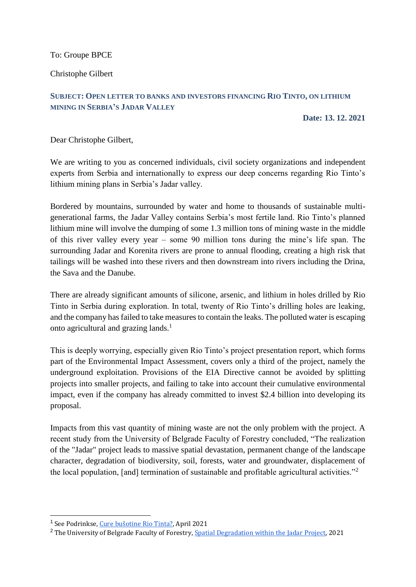To: Groupe BPCE

Christophe Gilbert

### **SUBJECT: OPEN LETTER TO BANKS AND INVESTORS FINANCING RIO TINTO, ON LITHIUM MINING IN SERBIA'S JADAR VALLEY**

**Date: 13. 12. 2021**

Dear Christophe Gilbert,

We are writing to you as concerned individuals, civil society organizations and independent experts from Serbia and internationally to express our deep concerns regarding Rio Tinto's lithium mining plans in Serbia's Jadar valley.

Bordered by mountains, surrounded by water and home to thousands of sustainable multigenerational farms, the Jadar Valley contains Serbia's most fertile land. Rio Tinto's planned lithium mine will involve the dumping of some 1.3 million tons of mining waste in the middle of this river valley every year – some 90 million tons during the mine's life span. The surrounding Jadar and Korenita rivers are prone to annual flooding, creating a high risk that tailings will be washed into these rivers and then downstream into rivers including the Drina, the Sava and the Danube.

There are already significant amounts of silicone, arsenic, and lithium in holes drilled by Rio Tinto in Serbia during exploration. In total, twenty of Rio Tinto's drilling holes are leaking, and the company has failed to take measures to contain the leaks. The polluted water is escaping onto agricultural and grazing lands.<sup>1</sup>

This is deeply worrying, especially given Rio Tinto's project presentation report, which forms part of the Environmental Impact Assessment, covers only a third of the project, namely the underground exploitation. Provisions of the EIA Directive cannot be avoided by splitting projects into smaller projects, and failing to take into account their cumulative environmental impact, even if the company has already committed to invest \$2.4 billion into developing its proposal.

Impacts from this vast quantity of mining waste are not the only problem with the project. A recent study from the University of Belgrade Faculty of Forestry concluded, "The realization of the "Jadar" project leads to massive spatial devastation, permanent change of the landscape character, degradation of biodiversity, soil, forests, water and groundwater, displacement of the local population, [and] termination of sustainable and profitable agricultural activities."<sup>2</sup>

<sup>–&</sup>lt;br><sup>1</sup> See Podrinkse, <u>[Cure bušotine Rio Tinta?](https://podrinske.com/cure-busotine-rio-tinta/)</u>, April 2021

<sup>&</sup>lt;sup>2</sup> The University of Belgrade Faculty of Forestry, [Spatial Degradation within the Jadar Project,](https://www.banktrack.org/download/spatial_degradation_within_the_jadar_project/ristic_et_al__sanu_eng_2021_1.pdf) 2021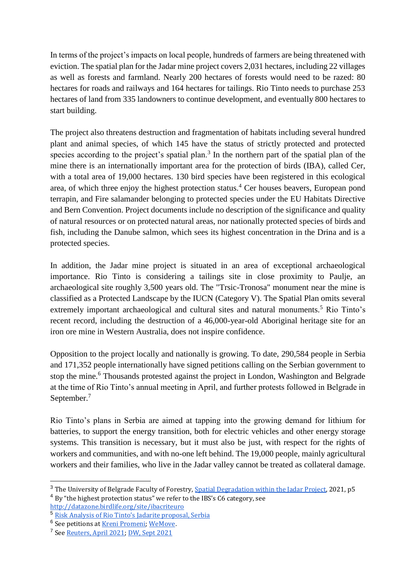In terms of the project's impacts on local people, hundreds of farmers are being threatened with eviction. The spatial plan for the Jadar mine project covers 2,031 hectares, including 22 villages as well as forests and farmland. Nearly 200 hectares of forests would need to be razed: 80 hectares for roads and railways and 164 hectares for tailings. Rio Tinto needs to purchase 253 hectares of land from 335 landowners to continue development, and eventually 800 hectares to start building.

The project also threatens destruction and fragmentation of habitats including several hundred plant and animal species, of which 145 have the status of strictly protected and protected species according to the project's spatial plan.<sup>3</sup> In the northern part of the spatial plan of the mine there is an internationally important area for the protection of birds (IBA), called Cer, with a total area of 19,000 hectares. 130 bird species have been registered in this ecological area, of which three enjoy the highest protection status.<sup>4</sup> Cer houses beavers, European pond terrapin, and Fire salamander belonging to protected species under the EU Habitats Directive and Bern Convention. Project documents include no description of the significance and quality of natural resources or on protected natural areas, nor nationally protected species of birds and fish, including the Danube salmon, which sees its highest concentration in the Drina and is a protected species.

In addition, the Jadar mine project is situated in an area of exceptional archaeological importance. Rio Tinto is considering a tailings site in close proximity to Paulje, an archaeological site roughly 3,500 years old. The "Trsic-Tronosa" monument near the mine is classified as a Protected Landscape by the IUCN (Category V). The Spatial Plan omits several extremely important archaeological and cultural sites and natural monuments.<sup>5</sup> Rio Tinto's recent record, including the destruction of a 46,000-year-old Aboriginal heritage site for an iron ore mine in Western Australia, does not inspire confidence.

Opposition to the project locally and nationally is growing. To date, 290,584 people in Serbia and 171,352 people internationally have signed petitions calling on the Serbian government to stop the mine.<sup>6</sup> Thousands protested against the project in London, Washington and Belgrade at the time of Rio Tinto's annual meeting in April, and further protests followed in Belgrade in September.<sup>7</sup>

Rio Tinto's plans in Serbia are aimed at tapping into the growing demand for lithium for batteries, to support the energy transition, both for electric vehicles and other energy storage systems. This transition is necessary, but it must also be just, with respect for the rights of workers and communities, and with no-one left behind. The 19,000 people, mainly agricultural workers and their families, who live in the Jadar valley cannot be treated as collateral damage.

-

<sup>&</sup>lt;sup>3</sup> The University of Belgrade Faculty of Forestry, [Spatial Degradation within the Jadar Project,](https://www.banktrack.org/download/spatial_degradation_within_the_jadar_project/ristic_et_al__sanu_eng_2021_1.pdf) 2021, p5

<sup>&</sup>lt;sup>4</sup> By "the highest protection status" we refer to the IBS's C6 category, see <http://datazone.birdlife.org/site/ibacriteuro>

<sup>5</sup> [Risk Analysis of Rio Tinto's Jadarite proposal, Serbia](https://issuu.com/stephaniedanielleroth/docs/risk_analysis__rio_tinto_s_jadarite_proposal__serb)

<sup>&</sup>lt;sup>6</sup> See petitions at [Kreni Promeni;](https://peticije.kreni-promeni.org/petitions/stop-rudniku-litijuma-rio-tinto-mars-sa-drine) [WeMove](https://you.wemove.eu/campaigns/stop-rio-tinto-mine).

<sup>&</sup>lt;sup>7</sup> See <u>Reuters, April 2021; [DW, Sept 2021](https://www.dw.com/en/serbia-thousands-rally-in-belgrade-for-environmental-causes/a-59155904)</u>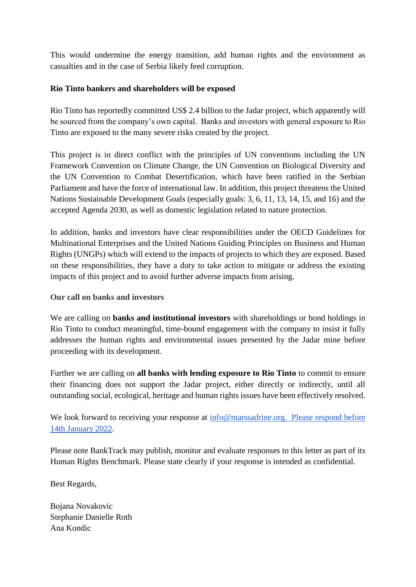This would undermine the energy transition, add human rights and the environment as casualties and in the case of Serbia likely feed corruption.

## **Rio Tinto bankers and shareholders will be exposed**

Rio Tinto has reportedly committed US\$ 2.4 billion to the Jadar project, which apparently will be sourced from the company's own capital. Banks and investors with general exposure to Rio Tinto are exposed to the many severe risks created by the project.

This project is in direct conflict with the principles of UN conventions including the UN Framework Convention on Climate Change, the UN Convention on Biological Diversity and the UN Convention to Combat Desertification, which have been ratified in the Serbian Parliament and have the force of international law. In addition, this project threatens the United Nations Sustainable Development Goals (especially goals: 3, 6, 11, 13, 14, 15, and 16) and the accepted Agenda 2030, as well as domestic legislation related to nature protection.

In addition, banks and investors have clear responsibilities under the OECD Guidelines for Multinational Enterprises and the United Nations Guiding Principles on Business and Human Rights (UNGPs) which will extend to the impacts of projects to which they are exposed. Based on these responsibilities, they have a duty to take action to mitigate or address the existing impacts of this project and to avoid further adverse impacts from arising.

## **Our call on banks and investors**

We are calling on **banks and institutional investors** with shareholdings or bond holdings in Rio Tinto to conduct meaningful, time-bound engagement with the company to insist it fully addresses the human rights and environmental issues presented by the Jadar mine before proceeding with its development.

Further we are calling on **all banks with lending exposure to Rio Tinto** to commit to ensure their financing does not support the Jadar project, either directly or indirectly, until all outstanding social, ecological, heritage and human rights issues have been effectively resolved.

We look forward to receiving your response at  $\inf_{\Omega} \omega$  marssadrine.org. Please respond before 14th January 2022.

Please note BankTrack may publish, monitor and evaluate responses to this letter as part of its Human Rights Benchmark. Please state clearly if your response is intended as confidential.

Best Regards,

Bojana Novakovic Stephanie Danielle Roth Ana Kondic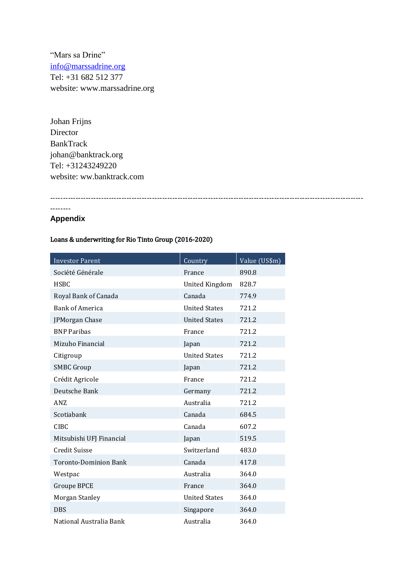"Mars sa Drine" [info@marssadrine.org](mailto:info@marssadrine.org) Tel: +31 682 512 377 website: www.marssadrine.org

Johan Frijns Director BankTrack johan@banktrack.org Tel: +31243249220 website: ww.banktrack.com

---------------------------------------------------------------------------------------------------------------------------

#### --------

#### **Appendix**

#### Loans & underwriting for Rio Tinto Group (2016-2020)

| <b>Investor Parent</b>       | Country               | Value (US\$m) |
|------------------------------|-----------------------|---------------|
| Société Générale             | France                | 890.8         |
| <b>HSBC</b>                  | <b>United Kingdom</b> | 828.7         |
| Royal Bank of Canada         | Canada                | 774.9         |
| <b>Bank of America</b>       | <b>United States</b>  | 721.2         |
| JPMorgan Chase               | <b>United States</b>  | 721.2         |
| <b>BNP Paribas</b>           | France                | 721.2         |
| Mizuho Financial             | Japan                 | 721.2         |
| Citigroup                    | <b>United States</b>  | 721.2         |
| <b>SMBC Group</b>            | Japan                 | 721.2         |
| Crédit Agricole              | France                | 721.2         |
| Deutsche Bank                | Germany               | 721.2         |
| ANZ                          | Australia             | 721.2         |
| Scotiabank                   | Canada                | 684.5         |
| <b>CIBC</b>                  | Canada                | 607.2         |
| Mitsubishi UFJ Financial     | Japan                 | 519.5         |
| <b>Credit Suisse</b>         | Switzerland           | 483.0         |
| <b>Toronto-Dominion Bank</b> | Canada                | 417.8         |
| Westpac                      | Australia             | 364.0         |
| <b>Groupe BPCE</b>           | France                | 364.0         |
| Morgan Stanley               | <b>United States</b>  | 364.0         |
| <b>DBS</b>                   | Singapore             | 364.0         |
| National Australia Bank      | Australia             | 364.0         |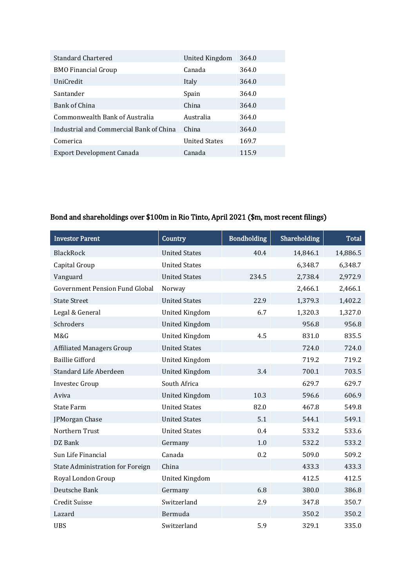| <b>Standard Chartered</b>               | United Kingdom       | 364.0 |
|-----------------------------------------|----------------------|-------|
| <b>BMO Financial Group</b>              | Canada               | 364.0 |
| <b>UniCredit</b>                        | Italy                | 364.0 |
| Santander                               | Spain                | 364.0 |
| Bank of China                           | China                | 364.0 |
| Commonwealth Bank of Australia          | Australia            | 364.0 |
| Industrial and Commercial Bank of China | China                | 364.0 |
| Comerica                                | <b>United States</b> | 169.7 |
| Export Development Canada               | Canada               | 115.9 |

## Bond and shareholdings over \$100m in Rio Tinto, April 2021 (\$m, most recent filings)

| <b>Investor Parent</b>                  | Country               | <b>Bondholding</b> | Shareholding | <b>Total</b> |
|-----------------------------------------|-----------------------|--------------------|--------------|--------------|
| <b>BlackRock</b>                        | <b>United States</b>  | 40.4               | 14,846.1     | 14,886.5     |
| Capital Group                           | <b>United States</b>  |                    | 6,348.7      | 6,348.7      |
| Vanguard                                | <b>United States</b>  | 234.5              | 2,738.4      | 2,972.9      |
| <b>Government Pension Fund Global</b>   | Norway                |                    | 2,466.1      | 2,466.1      |
| <b>State Street</b>                     | <b>United States</b>  | 22.9               | 1,379.3      | 1,402.2      |
| Legal & General                         | <b>United Kingdom</b> | 6.7                | 1,320.3      | 1,327.0      |
| Schroders                               | <b>United Kingdom</b> |                    | 956.8        | 956.8        |
| M&G                                     | <b>United Kingdom</b> | 4.5                | 831.0        | 835.5        |
| <b>Affiliated Managers Group</b>        | <b>United States</b>  |                    | 724.0        | 724.0        |
| <b>Baillie Gifford</b>                  | <b>United Kingdom</b> |                    | 719.2        | 719.2        |
| Standard Life Aberdeen                  | <b>United Kingdom</b> | 3.4                | 700.1        | 703.5        |
| <b>Investec Group</b>                   | South Africa          |                    | 629.7        | 629.7        |
| Aviva                                   | <b>United Kingdom</b> | 10.3               | 596.6        | 606.9        |
| <b>State Farm</b>                       | <b>United States</b>  | 82.0               | 467.8        | 549.8        |
| JPMorgan Chase                          | <b>United States</b>  | 5.1                | 544.1        | 549.1        |
| Northern Trust                          | <b>United States</b>  | 0.4                | 533.2        | 533.6        |
| DZ Bank                                 | Germany               | 1.0                | 532.2        | 533.2        |
| Sun Life Financial                      | Canada                | 0.2                | 509.0        | 509.2        |
| <b>State Administration for Foreign</b> | China                 |                    | 433.3        | 433.3        |
| Royal London Group                      | <b>United Kingdom</b> |                    | 412.5        | 412.5        |
| Deutsche Bank                           | Germany               | 6.8                | 380.0        | 386.8        |
| <b>Credit Suisse</b>                    | Switzerland           | 2.9                | 347.8        | 350.7        |
| Lazard                                  | Bermuda               |                    | 350.2        | 350.2        |
| <b>UBS</b>                              | Switzerland           | 5.9                | 329.1        | 335.0        |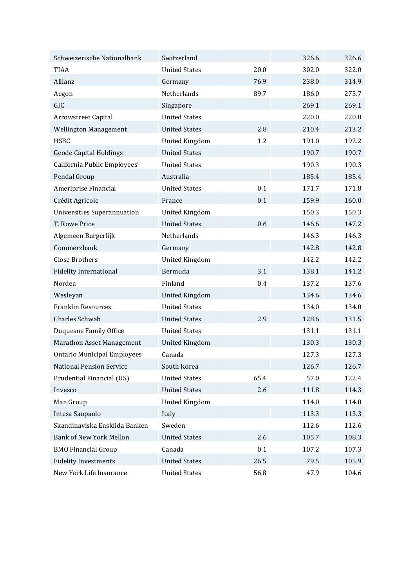| Schweizerische Nationalbank        | Switzerland           |      | 326.6 | 326.6 |
|------------------------------------|-----------------------|------|-------|-------|
| <b>TIAA</b>                        | <b>United States</b>  | 20.0 | 302.0 | 322.0 |
| Allianz                            | Germany               | 76.9 | 238.0 | 314.9 |
| Aegon                              | Netherlands           | 89.7 | 186.0 | 275.7 |
| GIC                                | Singapore             |      | 269.1 | 269.1 |
| Arrowstreet Capital                | <b>United States</b>  |      | 220.0 | 220.0 |
| <b>Wellington Management</b>       | <b>United States</b>  | 2.8  | 210.4 | 213.2 |
| <b>HSBC</b>                        | <b>United Kingdom</b> | 1.2  | 191.0 | 192.2 |
| <b>Geode Capital Holdings</b>      | <b>United States</b>  |      | 190.7 | 190.7 |
| California Public Employees'       | <b>United States</b>  |      | 190.3 | 190.3 |
| Pendal Group                       | Australia             |      | 185.4 | 185.4 |
| Ameriprise Financial               | <b>United States</b>  | 0.1  | 171.7 | 171.8 |
| Crédit Agricole                    | France                | 0.1  | 159.9 | 160.0 |
| <b>Universities Superannuation</b> | <b>United Kingdom</b> |      | 150.3 | 150.3 |
| T. Rowe Price                      | <b>United States</b>  | 0.6  | 146.6 | 147.2 |
| Algemeen Burgerlijk                | Netherlands           |      | 146.3 | 146.3 |
| Commerzbank                        | Germany               |      | 142.8 | 142.8 |
| <b>Close Brothers</b>              | <b>United Kingdom</b> |      | 142.2 | 142.2 |
| <b>Fidelity International</b>      | Bermuda               | 3.1  | 138.1 | 141.2 |
| Nordea                             | Finland               | 0.4  | 137.2 | 137.6 |
| Wesleyan                           | <b>United Kingdom</b> |      | 134.6 | 134.6 |
| <b>Franklin Resources</b>          | <b>United States</b>  |      | 134.0 | 134.0 |
| Charles Schwab                     | <b>United States</b>  | 2.9  | 128.6 | 131.5 |
| <b>Duquesne Family Office</b>      | <b>United States</b>  |      | 131.1 | 131.1 |
| <b>Marathon Asset Management</b>   | <b>United Kingdom</b> |      | 130.3 | 130.3 |
| <b>Ontario Municipal Employees</b> | Canada                |      | 127.3 | 127.3 |
| <b>National Pension Service</b>    | South Korea           |      | 126.7 | 126.7 |
| Prudential Financial (US)          | <b>United States</b>  | 65.4 | 57.0  | 122.4 |
| Invesco                            | <b>United States</b>  | 2.6  | 111.8 | 114.3 |
| Man Group                          | <b>United Kingdom</b> |      | 114.0 | 114.0 |
| Intesa Sanpaolo                    | Italy                 |      | 113.3 | 113.3 |
| Skandinaviska Enskilda Banken      | Sweden                |      | 112.6 | 112.6 |
| <b>Bank of New York Mellon</b>     | <b>United States</b>  | 2.6  | 105.7 | 108.3 |
| <b>BMO Financial Group</b>         | Canada                | 0.1  | 107.2 | 107.3 |
| <b>Fidelity Investments</b>        | <b>United States</b>  | 26.5 | 79.5  | 105.9 |
| New York Life Insurance            | <b>United States</b>  | 56.8 | 47.9  | 104.6 |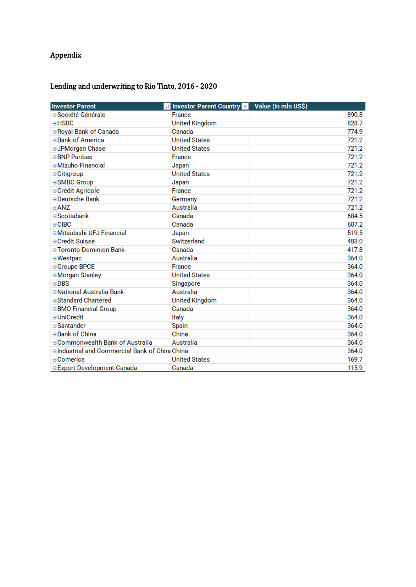# Appendix

#### Lending and underwriting to Rio Tinto, 2016 - 2020

| <b>Investor Parent</b>                         | <b>Investor Parent Country</b> | Value (in mln US\$) |
|------------------------------------------------|--------------------------------|---------------------|
| <b>□ Société Générale</b>                      | France                         | 890.8               |
| $\blacksquare$ HSBC                            | <b>United Kingdom</b>          | 828.7               |
| Royal Bank of Canada                           | Canada                         | 774.9               |
| <b>⊟Bank of America</b>                        | <b>United States</b>           | 721.2               |
| <b>⊟JPMorgan Chase</b>                         | <b>United States</b>           | 721.2               |
| <b>BNP</b> Paribas                             | France                         | 721.2               |
| □ Mizuho Financial                             | Japan                          | 721.2               |
| $\equiv$ Citigroup                             | <b>United States</b>           | 721.2               |
| <b>ESMBC Group</b>                             | Japan                          | 721.2               |
| <b>□ Crédit Agricole</b>                       | France                         | 721.2               |
| □ Deutsche Bank                                | Germany                        | 721.2               |
| $\Box$ ANZ                                     | Australia                      | 721.2               |
| $\blacksquare$ Scotiabank                      | Canada                         | 684.5               |
| $\equiv$ CIBC                                  | Canada                         | 607.2               |
| <b>■Mitsubishi UFJ Financial</b>               | Japan                          | 519.5               |
| <b>□ Credit Suisse</b>                         | Switzerland                    | 483.0               |
| <b>■ Toronto-Dominion Bank</b>                 | Canada                         | 417.8               |
| <b>■Westpac</b>                                | Australia                      | 364.0               |
| <b>⊟Groupe BPCE</b>                            | France                         | 364.0               |
| <b><i><b>EMorgan Stanley</b></i></b>           | <b>United States</b>           | 364.0               |
| $\blacksquare$ DBS                             | Singapore                      | 364.0               |
| □National Australia Bank                       | Australia                      | 364.0               |
| <b>■Standard Chartered</b>                     | <b>United Kingdom</b>          | 364.0               |
| <b>BMO Financial Group</b>                     | Canada                         | 364.0               |
| <b>□</b> UniCredit                             | Italy                          | 364.0               |
| <b>Santander</b>                               | Spain                          | 364.0               |
| ⊟Bank of China                                 | China                          | 364.0               |
| ■Commonwealth Bank of Australia                | Australia                      | 364.0               |
| □ Industrial and Commercial Bank of ChinaChina |                                | 364.0               |
| ⊟Comerica                                      | <b>United States</b>           | 169.7               |
| <b>Export Development Canada</b>               | Canada                         | 115.9               |